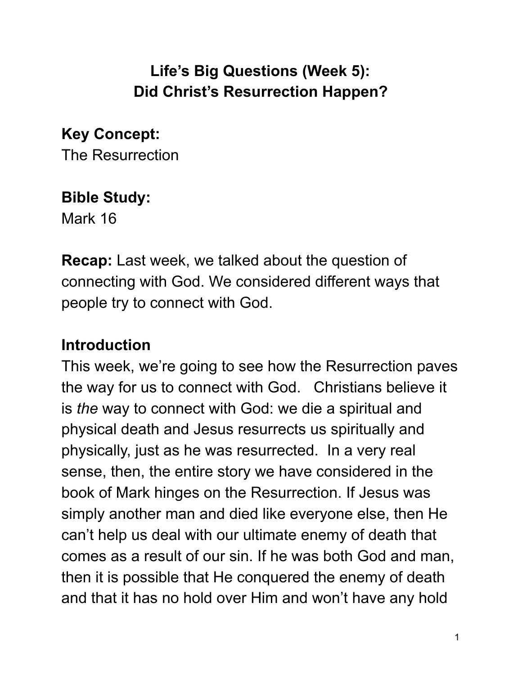# **Life's Big Questions (Week 5): Did Christ's Resurrection Happen?**

**Key Concept:**  The Resurrection

## **Bible Study:**

Mark 16

**Recap:** Last week, we talked about the question of connecting with God. We considered different ways that people try to connect with God.

# **Introduction**

This week, we're going to see how the Resurrection paves the way for us to connect with God. Christians believe it is *the* way to connect with God: we die a spiritual and physical death and Jesus resurrects us spiritually and physically, just as he was resurrected. In a very real sense, then, the entire story we have considered in the book of Mark hinges on the Resurrection. If Jesus was simply another man and died like everyone else, then He can't help us deal with our ultimate enemy of death that comes as a result of our sin. If he was both God and man, then it is possible that He conquered the enemy of death and that it has no hold over Him and won't have any hold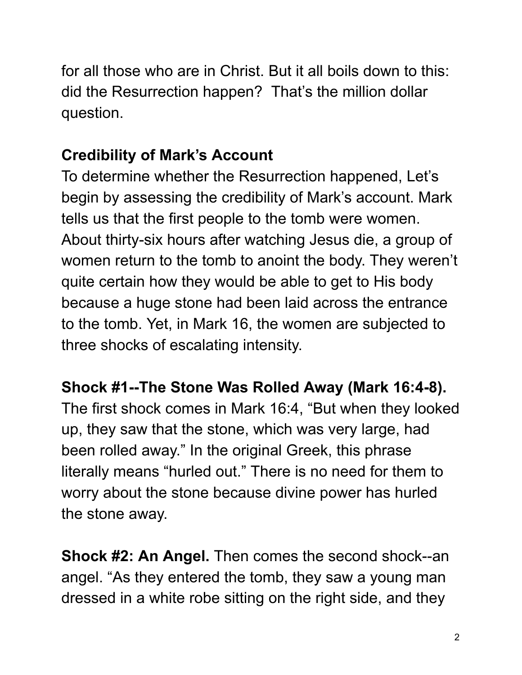for all those who are in Christ. But it all boils down to this: did the Resurrection happen? That's the million dollar question.

## **Credibility of Mark's Account**

To determine whether the Resurrection happened, Let's begin by assessing the credibility of Mark's account. Mark tells us that the first people to the tomb were women. About thirty-six hours after watching Jesus die, a group of women return to the tomb to anoint the body. They weren't quite certain how they would be able to get to His body because a huge stone had been laid across the entrance to the tomb. Yet, in Mark 16, the women are subjected to three shocks of escalating intensity.

## **Shock #1--The Stone Was Rolled Away (Mark 16:4-8).**

The first shock comes in Mark 16:4, "But when they looked up, they saw that the stone, which was very large, had been rolled away." In the original Greek, this phrase literally means "hurled out." There is no need for them to worry about the stone because divine power has hurled the stone away.

**Shock #2: An Angel.** Then comes the second shock--an angel. "As they entered the tomb, they saw a young man dressed in a white robe sitting on the right side, and they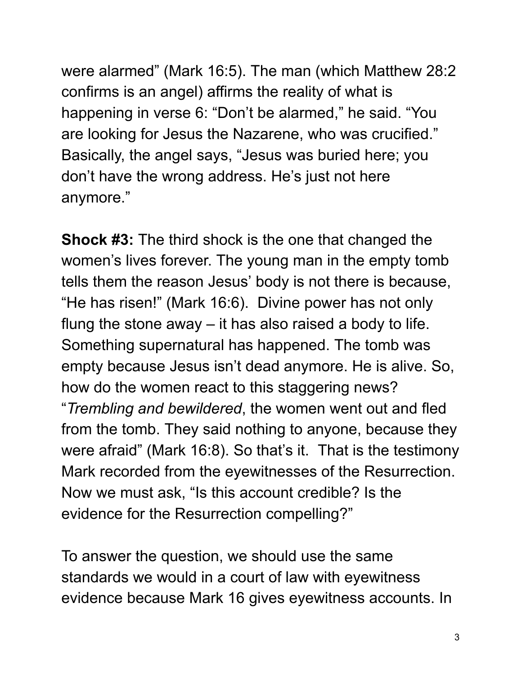were alarmed" (Mark 16:5). The man (which Matthew 28:2 confirms is an angel) affirms the reality of what is happening in verse 6: "Don't be alarmed," he said. "You are looking for Jesus the Nazarene, who was crucified." Basically, the angel says, "Jesus was buried here; you don't have the wrong address. He's just not here anymore."

**Shock #3:** The third shock is the one that changed the women's lives forever. The young man in the empty tomb tells them the reason Jesus' body is not there is because, "He has risen!" (Mark 16:6). Divine power has not only flung the stone away – it has also raised a body to life. Something supernatural has happened. The tomb was empty because Jesus isn't dead anymore. He is alive. So, how do the women react to this staggering news? " *Trembling and bewildered* , the women went out and fled from the tomb. They said nothing to anyone, because they were afraid" (Mark 16:8). So that's it. That is the testimony Mark recorded from the eyewitnesses of the Resurrection. Now we must ask, "Is this account credible? Is the evidence for the Resurrection compelling?"

To answer the question, we should use the same standards we would in a court of law with eyewitness evidence because Mark 16 gives eyewitness accounts. In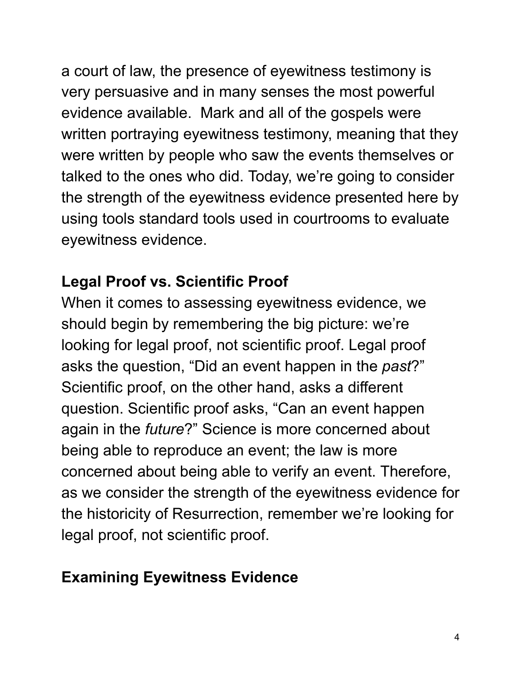a court of law, the presence of eyewitness testimony is very persuasive and in many senses the most powerful evidence available. Mark and all of the gospels were written portraying eyewitness testimony, meaning that they were written by people who saw the events themselves or talked to the ones who did. Today, we're going to consider the strength of the eyewitness evidence presented here by using tools standard tools used in courtrooms to evaluate eyewitness evidence.

# **Legal Proof vs. Scientific Proof**

When it comes to assessing eyewitness evidence, we should begin by remembering the big picture: we're looking for legal proof, not scientific proof. Legal proof asks the question, "Did an event happen in the *past*?" Scientific proof, on the other hand, asks a different question. Scientific proof asks, "Can an event happen again in the *future*?" Science is more concerned about being able to reproduce an event; the law is more concerned about being able to verify an event. Therefore, as we consider the strength of the eyewitness evidence for the historicity of Resurrection, remember we're looking for legal proof, not scientific proof.

# **Examining Eyewitness Evidence**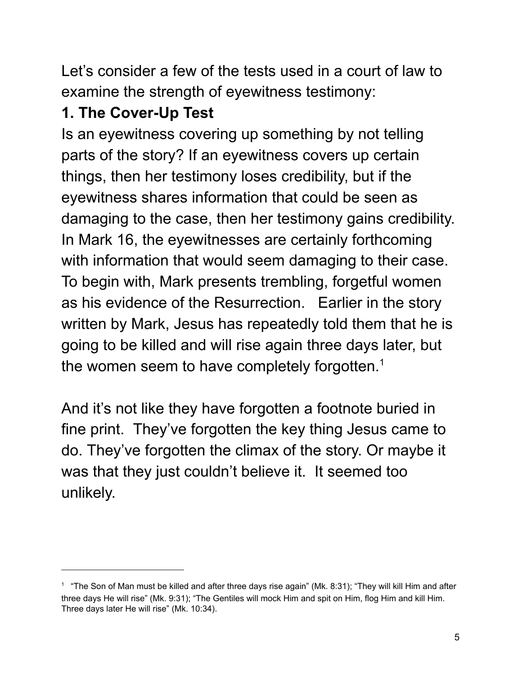Let's consider a few of the tests used in a court of law to examine the strength of eyewitness testimony:

# **1. The Cover-Up Test**

Is an eyewitness covering up something by not telling parts of the story? If an eyewitness covers up certain things, then her testimony loses credibility, but if the eyewitness shares information that could be seen as damaging to the case, then her testimony gains credibility. In Mark 16, the eyewitnesses are certainly forthcoming with information that would seem damaging to their case. To begin with, Mark presents trembling, forgetful women as his evidence of the Resurrection. Earlier in the story written by Mark, Jesus has repeatedly told them that he is going to be killed and will rise again three days later, but the women seem to have completely forgotten.<sup>1</sup>

And it's not like they have forgotten a footnote buried in fine print. They've forgotten the key thing Jesus came to do. They've forgotten the climax of the story. Or maybe it was that they just couldn't believe it. It seemed too unlikely.

 $1$  "The Son of Man must be killed and after three days rise again" (Mk. 8:31); "They will kill Him and after three days He will rise" (Mk. 9:31); "The Gentiles will mock Him and spit on Him, flog Him and kill Him. Three days later He will rise" (Mk. 10:34).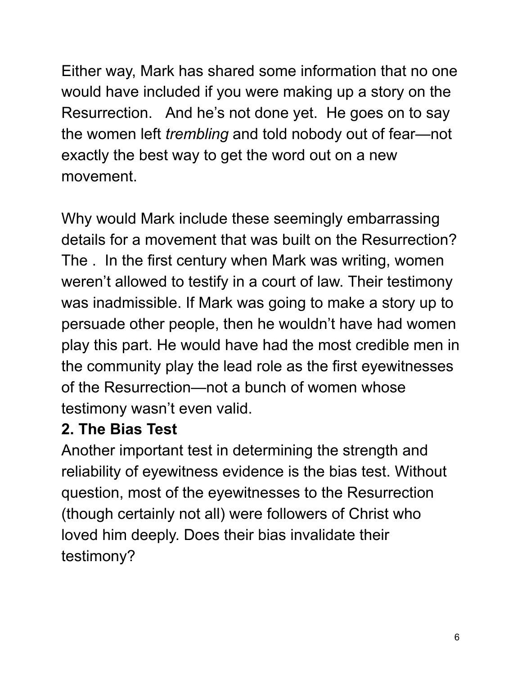Either way, Mark has shared some information that no one would have included if you were making up a story on the Resurrection. And he's not done yet. He goes on to say the women left *trembling* and told nobody out of fear—not exactly the best way to get the word out on a new movement.

Why would Mark include these seemingly embarrassing details for a movement that was built on the Resurrection? The . In the first century when Mark was writing, women weren't allowed to testify in a court of law. Their testimony was inadmissible. If Mark was going to make a story up to persuade other people, then he wouldn't have had women play this part. He would have had the most credible men in the community play the lead role as the first eyewitnesses of the Resurrection—not a bunch of women whose testimony wasn't even valid.

#### **2. The Bias Test**

Another important test in determining the strength and reliability of eyewitness evidence is the bias test. Without question, most of the eyewitnesses to the Resurrection (though certainly not all) were followers of Christ who loved him deeply. Does their bias invalidate their testimony?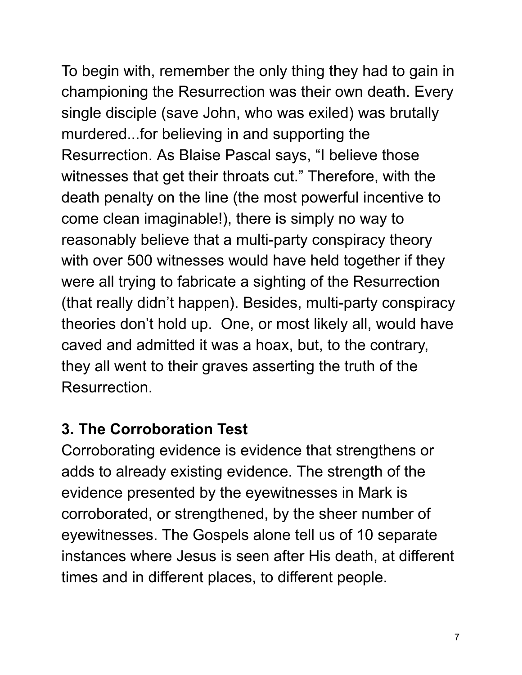To begin with, remember the only thing they had to gain in championing the Resurrection was their own death. Every single disciple (save John, who was exiled) was brutally murdered...for believing in and supporting the Resurrection. As Blaise Pascal says, "I believe those witnesses that get their throats cut." Therefore, with the death penalty on the line (the most powerful incentive to come clean imaginable!), there is simply no way to reasonably believe that a multi-party conspiracy theory with over 500 witnesses would have held together if they were all trying to fabricate a sighting of the Resurrection (that really didn't happen). Besides, multi-party conspiracy theories don't hold up. One, or most likely all, would have caved and admitted it was a hoax, but, to the contrary, they all went to their graves asserting the truth of the Resurrection.

### **3. The Corroboration Test**

Corroborating evidence is evidence that strengthens or adds to already existing evidence. The strength of the evidence presented by the eyewitnesses in Mark is corroborated, or strengthened, by the sheer number of eyewitnesses. The Gospels alone tell us of 10 separate instances where Jesus is seen after His death, at different times and in different places, to different people.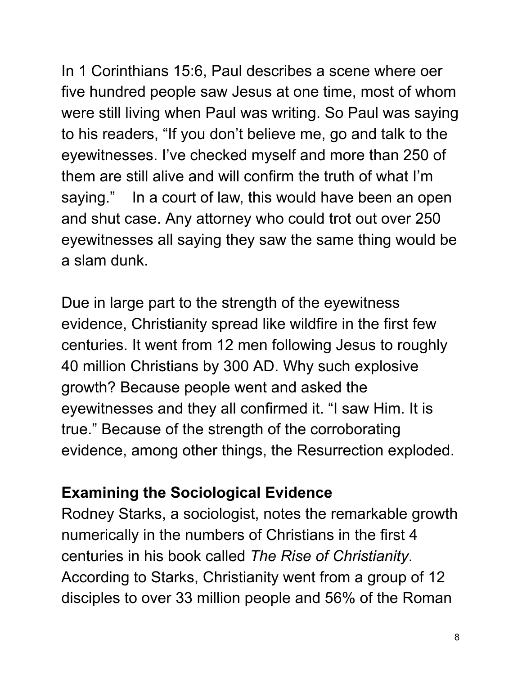In 1 Corinthians 15:6, Paul describes a scene where oer five hundred people saw Jesus at one time, most of whom were still living when Paul was writing. So Paul was saying to his readers, "If you don't believe me, go and talk to the eyewitnesses. I've checked myself and more than 250 of them are still alive and will confirm the truth of what I'm saying." In a court of law, this would have been an open and shut case. Any attorney who could trot out over 250 eyewitnesses all saying they saw the same thing would be a slam dunk.

Due in large part to the strength of the eyewitness evidence, Christianity spread like wildfire in the first few centuries. It went from 12 men following Jesus to roughly 40 million Christians by 300 AD. Why such explosive growth? Because people went and asked the eyewitnesses and they all confirmed it. "I saw Him. It is true." Because of the strength of the corroborating evidence, among other things, the Resurrection exploded.

## **Examining the Sociological Evidence**

Rodney Starks, a sociologist, notes the remarkable growth numerically in the numbers of Christians in the first 4 centuries in his book called *The Rise of Christianity* . According to Starks, Christianity went from a group of 12 disciples to over 33 million people and 56% of the Roman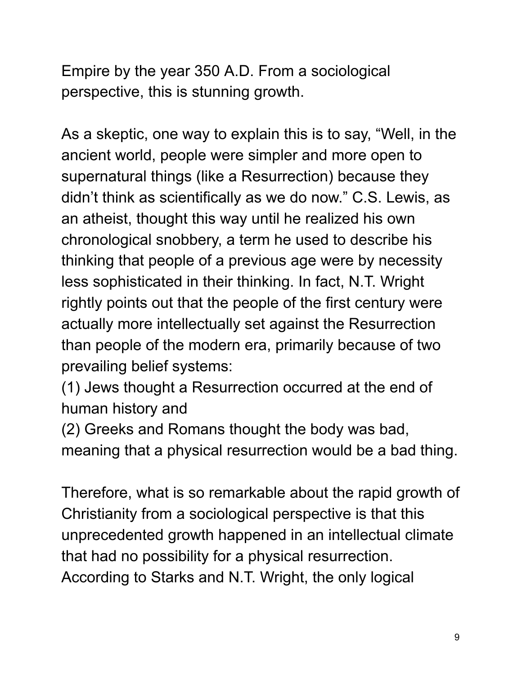Empire by the year 350 A.D. From a sociological perspective, this is stunning growth.

As a skeptic, one way to explain this is to say, "Well, in the ancient world, people were simpler and more open to supernatural things (like a Resurrection) because they didn't think as scientifically as we do now." C.S. Lewis, as an atheist, thought this way until he realized his own chronological snobbery, a term he used to describe his thinking that people of a previous age were by necessity less sophisticated in their thinking. In fact, N.T. Wright rightly points out that the people of the first century were actually more intellectually set against the Resurrection than people of the modern era, primarily because of two prevailing belief systems:

(1) Jews thought a Resurrection occurred at the end of human history and

(2) Greeks and Romans thought the body was bad, meaning that a physical resurrection would be a bad thing.

Therefore, what is so remarkable about the rapid growth of Christianity from a sociological perspective is that this unprecedented growth happened in an intellectual climate that had no possibility for a physical resurrection. According to Starks and N.T. Wright, the only logical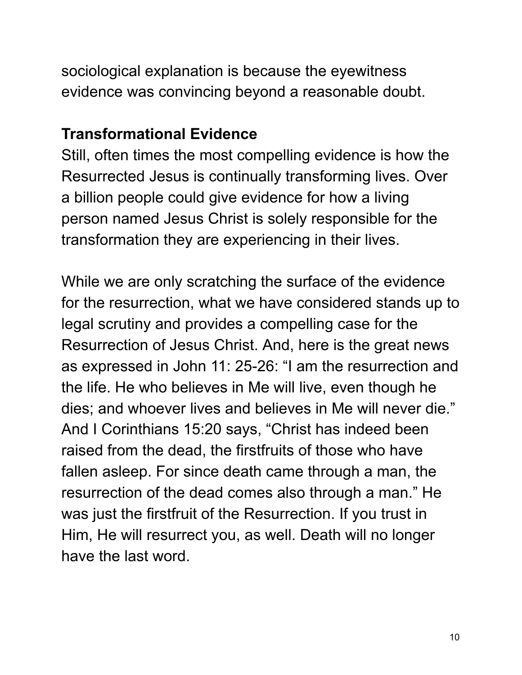sociological explanation is because the eyewitness evidence was convincing beyond a reasonable doubt.

#### **Transformational Evidence**

Still, often times the most compelling evidence is how the Resurrected Jesus is continually transforming lives. Over a billion people could give evidence for how a living person named Jesus Christ is solely responsible for the transformation they are experiencing in their lives.

While we are only scratching the surface of the evidence for the resurrection, what we have considered stands up to legal scrutiny and provides a compelling case for the Resurrection of Jesus Christ. And, here is the great news as expressed in John 11: 25-26: "I am the resurrection and the life. He who believes in Me will live, even though he dies; and whoever lives and believes in Me will never die." And I Corinthians 15:20 says, "Christ has indeed been raised from the dead, the firstfruits of those who have fallen asleep. For since death came through a man, the resurrection of the dead comes also through a man." He was just the firstfruit of the Resurrection. If you trust in Him, He will resurrect you, as well. Death will no longer have the last word.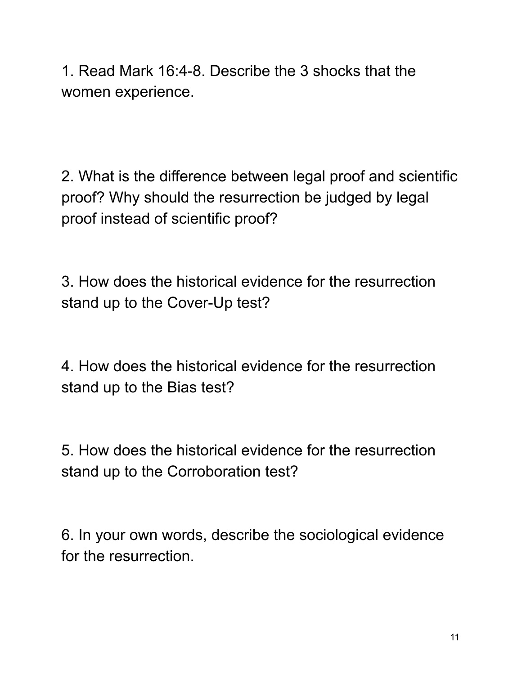1. Read Mark 16:4-8. Describe the 3 shocks that the women experience.

2. What is the difference between legal proof and scientific proof? Why should the resurrection be judged by legal proof instead of scientific proof?

3. How does the historical evidence for the resurrection stand up to the Cover-Up test?

4. How does the historical evidence for the resurrection stand up to the Bias test?

5. How does the historical evidence for the resurrection stand up to the Corroboration test?

6. In your own words, describe the sociological evidence for the resurrection.